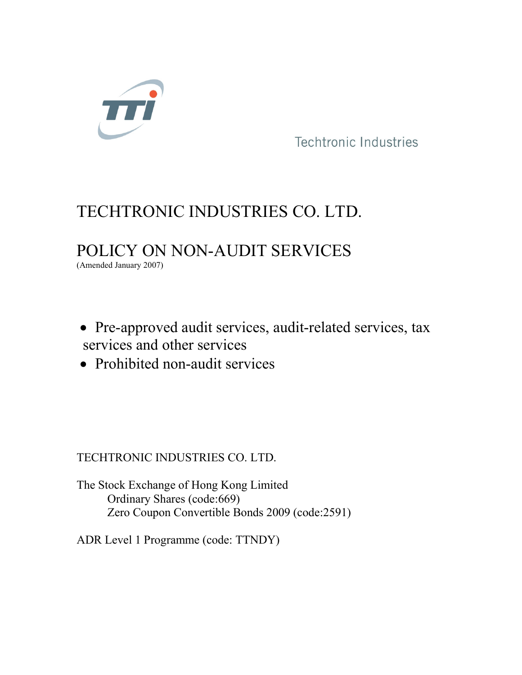

# Techtronic Industries<br>
TECHTRONIC INDUSTRIES CO. LTD.<br>
POLICY ON NON-AUDIT SERVICES<br>
(Amended January 2007) Techtronic Industries<br>TECHTRONIC INDUSTRIES CO. LTD.<br>POLICY ON NON-AUDIT SERVICES Techtronic Industries<br>
TECHTRONIC INDUSTRIES CO. LTD.<br>
POLICY ON NON-AUDIT SERVICES<br>
(Amended January 2007)

- Pre-approved audit services, audit-related services, tax Techtronic Industries<br>
Techtronic Industries<br>
POLICY ON NON-AUDIT SERVICES<br>
Pre-approved audit services, audit-related services, tax<br>
services and other services<br>
Prohibited non-audit services POLICY ON NON-AUDIT SERVICES<br>
• Pre-approved audit services, audit-related services, tax<br>
• Prohibited non-audit services<br>
• Prohibited non-audit services<br>
• Prohibited non-audit services<br>
TECHTRONIC INDUSTRIES CO. LTD.<br>
T Amended January 2007)<br>
• Pre-approved audit services, audit-related services, tax<br>
• Prohibited non-audit services<br>
• Prohibited non-audit services<br>
TECHTRONIC INDUSTRIES CO. LTD.<br>
The Stock Exchange of Hong Kong Limited<br> re-approved audit services, audit-related services, tax<br>ices and other services<br>cohibited non-audit services<br>Xhares (on-audit services)<br>TRONIC INDUSTRIES CO. LTD.<br>ock Exchange of Hong Kong Limited<br>Ordinary Shares (code:669 re-approved audit services, audit-related services, tax<br>ices and other services<br>cohibited non-audit services<br>X<br>TRONIC INDUSTRIES CO. LTD.<br>Ock Exchange of Hong Kong Limited<br>Ordinary Shares (code:6699)<br>Zero Coupon Convertibl • Pre-approved audit services, audit-related services, tax<br>services and other services<br>• Prohibited non-audit services<br><br>TECHTRONIC INDUSTRIES CO. LTD.<br>The Stock Exchange of Hong Kong Limited<br>Ordinary Shares (code:669)<br>Zero
- Prohibited non-audit services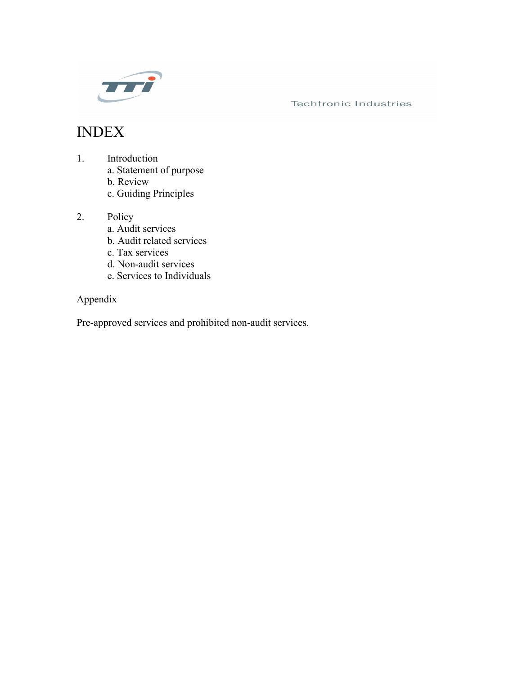

# INDEX

- -
	-
	-
- -
	-
	-
	-
	-

# Appendix

Fechtronic Industries<br>
EX<br>
Introduction<br>
a. Statement of purpose<br>
b. Review<br>
c. Guiding Principles<br>
Policy<br>
a. Audit services<br>
b. Audit related services<br>
d. Non-audit services<br>
e. Ervices to Individuals<br>
lix<br>
tix<br>
roved se Facturionic Industries<br>
1. Introduction<br>
a. Statement of purpose<br>
b. Review<br>
c. Guiding Principles<br>
a. Audit services<br>
b. Audit related services<br>
c. Tax services<br>
d. Non-audit services<br>
e. Services to Individuals<br>
Appendix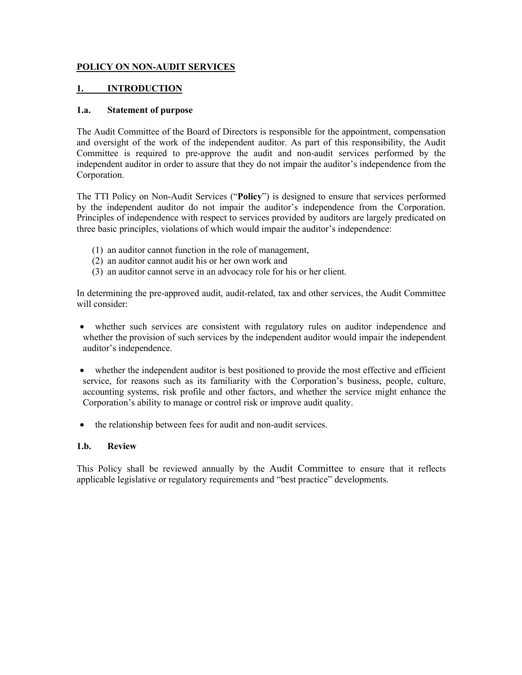# POLICY ON NON-AUDIT SERVICES<br>1. INTRODUCTION<br>1.a. Statement of purpose

**POLICY ON NON-AUDIT SERVICES**<br> **1.** INTRODUCTION<br> **1.a.** Statement of purpose<br>
The Audit Committee of the Board of Directors is responsible for the appointmen<br>
and oversight of the work of the independent auditor. As part **POLICY ON NON-AUDIT SERVICES**<br> **1.** INTRODUCTION<br> **1.a.** Statement of purpose<br>
The Audit Committee of the Board of Directors is responsible for the appointment, compensation<br>
Committee is required to pre-approve the audit **POLICY ON NON-AUDIT SERVICES**<br> **1.** INTRODUCTION<br> **1.a.** Statement of purpose<br>
The Audit Committee of the Board of Directors is responsible for the appointment, compensation<br>
and oversight of the work of the independent a **POLICY ON NON-AUDIT SERVICES**<br> **1.a.** Statement of purpose<br>
The Audit Committee of the Board of Directors is responsible for the appointment, compensation<br>
and oversight of the work of the independent auditor. As part of **POLICY ON NON-AUDIT SERVICES**<br> **1.** INTRODUCTION<br> **1.a.** Statement of purpose<br> **1.a.** Statement of purpose<br>
and oversight of the work of the independent auditor. As part of this responsibility, the Audit<br>
Committee is req **FOLICY ON NON-AUDIT SERVICES**<br> **1.** INTRODUCTION<br> **1.a.** Statement of purpose<br>
The Audit Committee of the Board of Directors is responsible for the appointment, compensation<br>
and oversight of the work of the independent a Corporation. **THE TTI POLICY ON NON-AUDIT SERVICES**<br> **1.** INTRODUCTION<br> **1.a.** Statement of purpose<br>
and oversight of the Work of the independent auditor. As part of this responsibility, the Audit<br>
Committee is required to pre-approve **POLICY ON NON-AUDIT SERVICES**<br> **1.4.** Statement of purpose<br>
The Audit Committee of the Board of Directors is responsible for the appointment, compensation<br>
and oversight of the work of the independent auditor'. As part of **POLICY ON NON-AUDIT SERVICES**<br> **1.** INTRODUCTION<br> **1.a.** Statement of purpose<br>
The Audit Committee of the Board of Directors is responsible for the appointment, compensation<br>
and oversight of the work of the independent a **1.** INTRODUCTION<br> **1.** INTRODUCTION<br> **1.** INTRODUCTION<br> **1.** INTRODUCTION<br> **1.** INTRODUCTION<br> **1.** INTRODUCTION<br> **1.** INTRODUCTION<br> **EXECUTE TO UPPAIR TO THE CONSTANT CONSTANT CONSTANT CONSTANT CONSTANT CONSTANT CONSTANT 1.** INTRODUCTION<br> **1.a.** Statement of purpose<br>
The Audit Committee of the Board of Directors is responsible for the appointment, compensation<br>
and oversight of the work of the independent auditor. As part of this responsi **I. INTRODUCTION**<br> **1.a. Statement of purpose**<br>
The Audit Committee of the Board of Directors is responsible for the appointment, compensation<br>
and oversight of the work of the independent auditor. As part of this respon the Audit Committee of the Board of Directors is responsible for the appointment, compensation<br>or committiee is required to pre-approve the audit and non-audit services performed by the<br>oromittiee is required to pre-approv The Audit Committee of the Board of Directors is responsible for the appointment, compensation<br>
and oversight of the work of the independent auditor. As part of this responsibility, the Audit<br>
Committee is required to pre

- (1) an auditor cannot function in the role of management,
- (2) an auditor cannot audit his or her own work and
- (3) an auditor cannot serve in an advocacy role for his or her client.

- 
- dependent auditor in order to assure that they do not impair the auditor's independence from the<br>phe phe TTI Policy on Non-Audit Services ("Policy") is designed to ensure that services performed<br>the phe independent auditor or portion.<br>
In the TTI Policy on Non-Audit Services ("Policy") is designed to ensure that services performed<br>
the independence with respect to services provided by auditors are largely predicated on<br>
inciples of independe The TTI Policy on Non-Audit Services ("Policy") is designed to ensure that services performed<br>y the independent auditor do not impair the auditor's independence from the Corporation.<br>Trinciples of independence with respect three basic principles, violations of which would impair the auditor's independence<br>
(1) an auditor cannot function in the role of management,<br>
(2) an auditor cannot audit his or her own work and<br>
(3) an auditor cannot ser (1) an auditor cannot function in the role of management,<br>
(2) an auditor cannot serive in an advocacy role for his or her client.<br>
In determining the pre-approved audit, audit-related, tax and other services, the Audit Co (2) an auditor campta audit his or her own work and<br>
(3) an auditor cannot serve in an advocacy role for his or her client.<br>
In determining the pre-approved audit, audit-related, tax and other services, the Audit Committee
-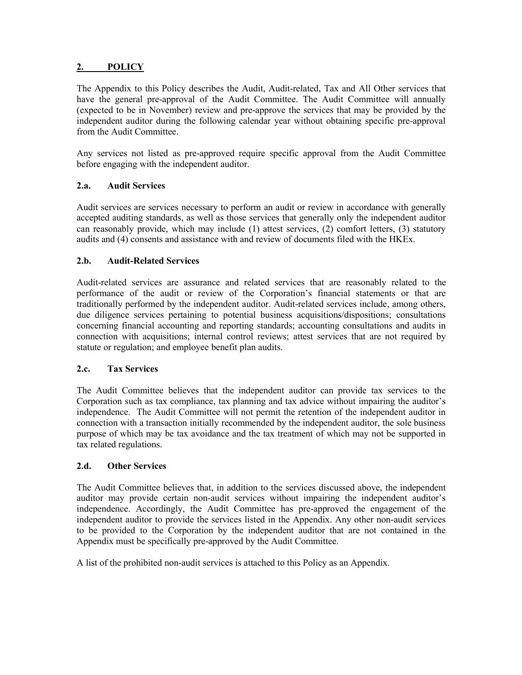2. POLICY<br>The Appendix to this Policy describes the Audit, Audit-related, Tax and All Oth<br>have the general pre-approval of the Audit Committee. The Audit Committee<br>(expected to be in November) review and pre-approve the se **2. POLICY**<br>The Appendix to this Policy describes the Audit, Audit-related, Tax and All Other services that<br>have the general pre-approval of the Audit Committee. The Audit Committee will annually<br>(expected to be in Novembe **2. POLICY**<br>The Appendix to this Policy describes the Audit, Audit-related, Tax and All Other services that<br>have the general pre-approval of the Audit Committee. The Audit Committee will annually<br>(expected to be in Novembe (expected to this Policy describes the Audit, Audit-related, Tax and All Other services that the expected to be in November) review and pre-approve the services that may be provided by the expected to be in November) revie **2.** POLICY<br>The Appendix to this Policy describes the Audit, Audit-related, Tax and All Other services that<br>have the general pre-approval of the Audit Committee. The Audit Committee will annually<br>(expected to be in Novembe **2. POLICY**<br> **The Appendix to this Policy describes the Audit, Audit-related, Tax and All Other server the general pre-approval of the Audit Committee. The Audit Committee will (expected to be in November) review and pre-a POLICY**<br> **The Appendix to this Policy describes the Audit Committee. The Audit Committee will amnually<br>
have the general pre-approved of the Audit Committee. The Audit Committee will amnually<br>
(expected to be in November) 2. POLICY**<br> **The Appendix to this Policy describes the Audit, Audit-related, Tax and All Other services that<br>
have the general pre-approval of the Audit Committee. The Audit Committee will annually<br>
(expected to be in Nov 2. POLICY**<br> **2. POLICY**<br> **2. POLICY**<br> **2. POLICY**<br> **2. COLICY**<br> **2. CON**<br> **2. CON**<br> **2. CON**<br> **2. CON**<br> **2. CON**<br> **2. CON**<br> **2. CON**<br> **2. CON**<br> **2. CON**<br> **2. CON**<br> **2. 2. Audit Services 2.** POLICY<br>The Appendix to this Policy describes the Audit, Audit-related, Tax and All Other services that<br>have the general pre-approval of the Audit Committee. The Audit Committee will annually<br>(expected to be in Novembe **2. POLICY**<br>The Appendix to this Policy describes the Audit, Audit-related, Tax and All Other services that<br>have the general pre-approval of the Audit Committee. The Audit Committee will annually<br>independent auditor dur **2.** POLICY<br>
The Appendix to this Policy describes the Audit, Audit-related, Tax and All Other services that<br>
they general pre-approval of the Audit Committee. The Audit Committee which tree in November) review and pre-app **2.** POLICY<br> **The Appendix to this Policy describes the Audit, Audit-related, Tax and All Other services that<br>
have the general pre-approval of the Audit Committee. The Audit Committee will amually<br>
despected to be in Nove 2. POLICY**<br> **2. POLICY**<br> **2. POLICY**<br>
The Appendix to this Policy describes the Audit, Audit-related, Tax and All Other services that<br>
thave the general pre-approval of the Audit Committee. The Audit Committee will amuall

**2. POLICY**<br> **The Appendix to this Policy describes the Audit Committee. The Audit Committee will amnually<br>
have the general pre-approval of the Audit Committee. The Audit Committee will amnually<br>
(expected to be in Novem** The Appendix to this Policy describes the Audit Audit-related, Tax and All Other services that<br>have the general pre-approval of the Audit Committee. The Audit Committee will annually<br>(expected to be in November) review and The Appendix to this Policy describes the Audit, Audit-related, Tax and All Other services that the general pre-approval of the Audit Committee. The Audit Committee will amounly have the general pre-approve and pre-approve have the general pre-approval of the Audit Committee. The Audit Committee will amually<br>
expected to be in November) review and pre-approve the services that may be provided by the<br>
didependent auditor during the following (expected to be in November) review and pre-approve the services that may be provided by the independent auditor during the following calendar year without obtaining specific pre-approval<br>from the Audit Committee.<br>Any serv independent auditor during the following calendar year without obtaining specific pre-approval<br>
from the Audit Committee.<br>
Any services not listed as pre-approved require specific approval from the Audit Committee<br>
before From the Audit Committee.<br>
Any services not listed as pre-approved require specific approval from the Audit Committee<br>
before engaging with the independent auditor.<br>
2.a. **Audit Services**<br>
Audit services are services neces Any services not listed as pre-approved require specific approval from the Audit<br>before engaging with the independent auditor.<br>
2.a. **Audit Services**<br>
2.a. **Audit Services**<br>
2.a. **Audit Services**<br>
2.a. **Audit Services**<br>
2. **2.a.** Audit Services<br>
Audit services are services necessary to perform an audit or review in accordance with generally<br>
accepted auditing standards, as well as those services that generally only the independent auditor<br> **2.a.** Audit Services are services necessary to perform an audit or review in accordance with generally concepted audition cace expedicing standards, as well as those services that generally only the independent auditor c Audit services are services necessary to perform an audit or review in accordance with generally<br>accepted auditing standards, as well as those services that generally only the independent auditor<br>can reasonably provide, wh And it services are services necessary to perform an audit or review in accordance with generally connect and the system in a stone services that generally only the independent auditor can reasonably provide, which may inc accepted auditing standards, as well as those services that generally only the independent auditor<br>can reasonably provide, which may include (1) attest services, (2) comfort letters, (3) stattaroy<br>audits and (4) consents a can reasonably provide, which may include (1) attest services, (2) comfort letters,<br>audits and (4) consents and assistance with and review of documents filed with the HI<br>**2.b. Audit-Related Services**<br>Audit-related servic 2.b. Audit-Related Services<br>
Audit-related services<br>
Audit-related services are assurance and related services that are reasonably relate<br>
performance of the audit or review of the Corporation's financial statements or<br>
tr Audit-related services are assumence and related services that are reasonably related to the performance of the audit or review of the Corporation's financial statements or that are aditionally performed by the independent Audit-related services are assumente and related services that are reasonably related to the readintionally performed by the independent auditor. Audit-related services include, among others, traditionally performed by the performance of the audit or review of the Corporation's financial statements or that are<br>traditionally performed by the independent auditor. Andi-trelated services include, among others,<br>due diligence services pertaining t

traditionally performed by the independent auditor. Audit-related services include, among others, due diligence services pertaining to potential busines acquisitions/dispositions; consultations concerning timarcial cocount due diligence services pertaining to potential business acquisitions/dispositions; consultations<br>concerning financial accounting and reporting standards; accounting consultations and audits in<br>connection with acquisitions; concerning financial accounting and reporting standards; accounting consultations and audits in connection with acquisitions; internal control reviews; attest services that are not required by statute or regulation; and em Statute or regulation; and employee benefit plan audits.<br>
2.e. Tax Services<br>
The Audit Committee believes that the independent auditor can provide tax services to the<br>
Corporation such as tax compliane, tax planaing and ta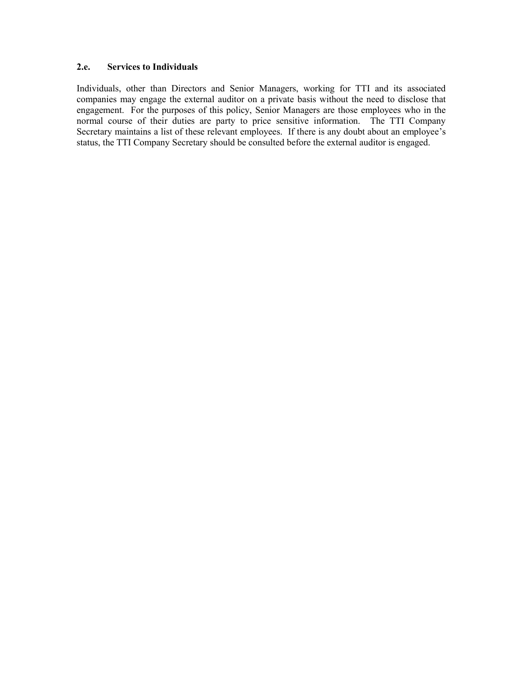2.e. Services to Individuals<br>
Individuals, other than Directors and Senior Managers, working for TTI and its associa<br>
companies may engage the external auditor on a private basis without the need to disclose<br>
engagement. F 2.e. Services to Individuals<br>Individuals, other than Directors and Senior Managers, working for TTI and its associated<br>companies may engage the external auditor on a private basis without the need to disclose that<br>engageme **2.e.** Services to Individuals<br>Individuals, other than Directors and Senior Managers, working for TTI and its associated<br>companies may engage the external auditor on a private basis without the need to disclose that<br>engage 2. Services to Individuals<br>Individuals, other than Directors and Senior Managers, working for TTI and its associated<br>companies may engage the external auditor on a private basis without the need to disclose that<br>empagement 2.e. Services to Individuals<br>Individuals, other than Directors and Senior Managers, working for TTI and its associated<br>companies may engage the external auditor on a private basis without the need to disclose that<br>engageme **2.e.** Services to Individuals<br>Individuals, other than Directors and Senior Managers, working for TTI and its associated<br>companies may engage the external auditor on a private basis without the need to disclose that<br>normal **2.e.** Services to Individuals<br>Individuals, other than Directors and Senior Managers, working for TTI and its associated<br>companies may engage the external auditor on a private basis without the need to disclose that<br>engage